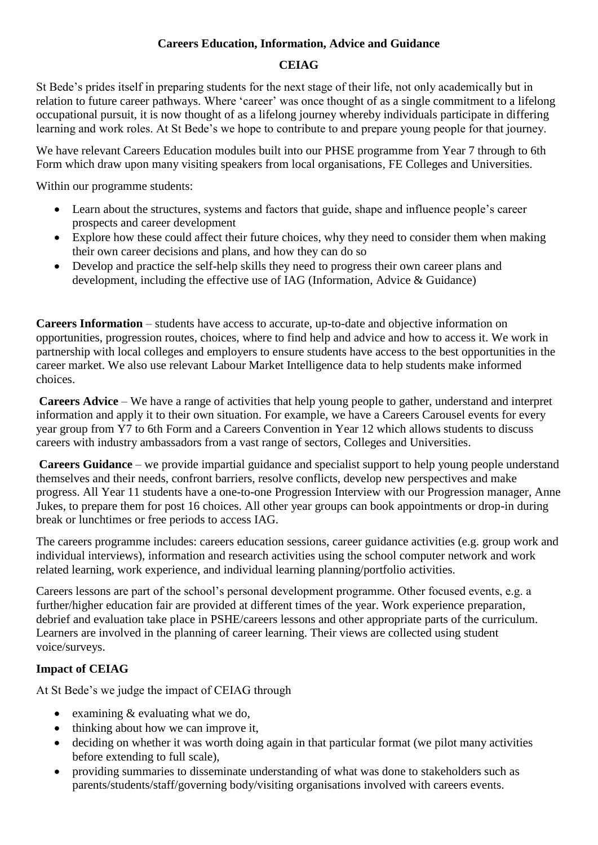### **Careers Education, Information, Advice and Guidance**

### **CEIAG**

St Bede's prides itself in preparing students for the next stage of their life, not only academically but in relation to future career pathways. Where 'career' was once thought of as a single commitment to a lifelong occupational pursuit, it is now thought of as a lifelong journey whereby individuals participate in differing learning and work roles. At St Bede's we hope to contribute to and prepare young people for that journey.

We have relevant Careers Education modules built into our PHSE programme from Year 7 through to 6th Form which draw upon many visiting speakers from local organisations, FE Colleges and Universities.

Within our programme students:

- Learn about the structures, systems and factors that guide, shape and influence people's career prospects and career development
- Explore how these could affect their future choices, why they need to consider them when making their own career decisions and plans, and how they can do so
- Develop and practice the self-help skills they need to progress their own career plans and development, including the effective use of IAG (Information, Advice & Guidance)

**Careers Information** – students have access to accurate, up-to-date and objective information on opportunities, progression routes, choices, where to find help and advice and how to access it. We work in partnership with local colleges and employers to ensure students have access to the best opportunities in the career market. We also use relevant Labour Market Intelligence data to help students make informed choices.

**Careers Advice** – We have a range of activities that help young people to gather, understand and interpret information and apply it to their own situation. For example, we have a Careers Carousel events for every year group from Y7 to 6th Form and a Careers Convention in Year 12 which allows students to discuss careers with industry ambassadors from a vast range of sectors, Colleges and Universities.

**Careers Guidance** – we provide impartial guidance and specialist support to help young people understand themselves and their needs, confront barriers, resolve conflicts, develop new perspectives and make progress. All Year 11 students have a one-to-one Progression Interview with our Progression manager, Anne Jukes, to prepare them for post 16 choices. All other year groups can book appointments or drop-in during break or lunchtimes or free periods to access IAG.

The careers programme includes: careers education sessions, career guidance activities (e.g. group work and individual interviews), information and research activities using the school computer network and work related learning, work experience, and individual learning planning/portfolio activities.

Careers lessons are part of the school's personal development programme. Other focused events, e.g. a further/higher education fair are provided at different times of the year. Work experience preparation, debrief and evaluation take place in PSHE/careers lessons and other appropriate parts of the curriculum. Learners are involved in the planning of career learning. Their views are collected using student voice/surveys.

## **Impact of CEIAG**

At St Bede's we judge the impact of CEIAG through

- examining & evaluating what we do,
- thinking about how we can improve it,
- deciding on whether it was worth doing again in that particular format (we pilot many activities before extending to full scale),
- providing summaries to disseminate understanding of what was done to stakeholders such as parents/students/staff/governing body/visiting organisations involved with careers events.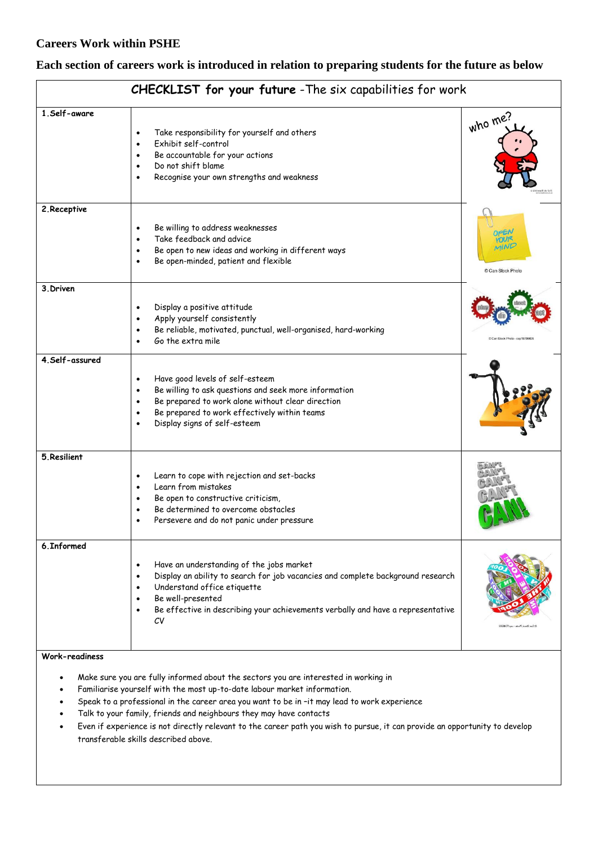$\overline{1}$ 

#### **Each section of careers work is introduced in relation to preparing students for the future as below**

| CHECKLIST TOP your Tuture - The SIX capabilities for work |                                                                                                                                                                                                                                                                                       |                                |  |
|-----------------------------------------------------------|---------------------------------------------------------------------------------------------------------------------------------------------------------------------------------------------------------------------------------------------------------------------------------------|--------------------------------|--|
| 1.Self-aware                                              | Take responsibility for yourself and others<br>$\bullet$<br>Exhibit self-control<br>$\bullet$<br>Be accountable for your actions<br>$\bullet$<br>Do not shift blame<br>$\bullet$<br>Recognise your own strengths and weakness<br>$\bullet$                                            | who me?                        |  |
| 2. Receptive                                              | Be willing to address weaknesses<br>Take feedback and advice<br>Be open to new ideas and working in different ways<br>$\bullet$<br>Be open-minded, patient and flexible<br>$\bullet$                                                                                                  | VINE<br>Can Stock Photo        |  |
| 3. Driven                                                 | Display a positive attitude<br>$\bullet$<br>Apply yourself consistently<br>$\bullet$<br>Be reliable, motivated, punctual, well-organised, hard-working<br>Go the extra mile<br>$\bullet$                                                                                              | C Can Stock Photo - csp1519643 |  |
| 4.Self-assured                                            | Have good levels of self-esteem<br>$\bullet$<br>Be willing to ask questions and seek more information<br>Be prepared to work alone without clear direction<br>$\bullet$<br>Be prepared to work effectively within teams<br>$\bullet$<br>Display signs of self-esteem<br>$\bullet$     |                                |  |
| 5. Resilient                                              | Learn to cope with rejection and set-backs<br>$\bullet$<br>Learn from mistakes<br>$\bullet$<br>Be open to constructive criticism,<br>Be determined to overcome obstacles<br>$\bullet$<br>Persevere and do not panic under pressure<br>$\bullet$                                       |                                |  |
| 6. Informed                                               | Have an understanding of the jobs market<br>Display an ability to search for job vacancies and complete background research<br>$\bullet$<br>Understand office etiquette<br>Be well-presented<br>Be effective in describing your achievements verbally and have a representative<br>CV | Can Stock Photo - asp17348202  |  |

# **CHECKLIST for your future** -The six capabilities for work

٦

#### **Work-readiness**

- Make sure you are fully informed about the sectors you are interested in working in
- Familiarise yourself with the most up-to-date labour market information.
- Speak to a professional in the career area you want to be in –it may lead to work experience
- Talk to your family, friends and neighbours they may have contacts
- Even if experience is not directly relevant to the career path you wish to pursue, it can provide an opportunity to develop transferable skills described above.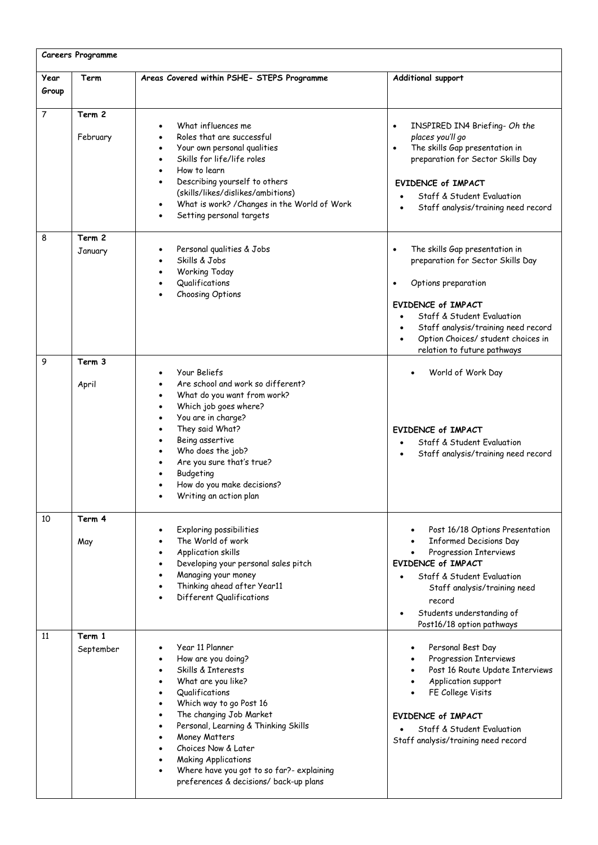| Careers Programme |                     |                                                                                                                                                                                                                                                                                                                                                                |                                                                                                                                                                                                                                                                                |
|-------------------|---------------------|----------------------------------------------------------------------------------------------------------------------------------------------------------------------------------------------------------------------------------------------------------------------------------------------------------------------------------------------------------------|--------------------------------------------------------------------------------------------------------------------------------------------------------------------------------------------------------------------------------------------------------------------------------|
| Year<br>Group     | Term                | Areas Covered within PSHE- STEPS Programme                                                                                                                                                                                                                                                                                                                     | Additional support                                                                                                                                                                                                                                                             |
| $\overline{7}$    | Term 2<br>February  | What influences me<br>Roles that are successful<br>Your own personal qualities<br>Skills for life/life roles<br>How to learn<br>Describing yourself to others<br>(skills/likes/dislikes/ambitions)<br>What is work? / Changes in the World of Work<br>Setting personal targets                                                                                 | INSPIRED IN4 Briefing- Oh the<br>$\bullet$<br>places you'll go<br>The skills Gap presentation in<br>$\bullet$<br>preparation for Sector Skills Day<br><b>EVIDENCE of IMPACT</b><br>Staff & Student Evaluation<br>Staff analysis/training need record                           |
| 8                 | Term 2<br>January   | Personal qualities & Jobs<br>Skills & Jobs<br>Working Today<br>Qualifications<br>Choosing Options                                                                                                                                                                                                                                                              | The skills Gap presentation in<br>$\bullet$<br>preparation for Sector Skills Day<br>Options preparation<br><b>EVIDENCE of IMPACT</b><br>Staff & Student Evaluation<br>Staff analysis/training need record<br>Option Choices/ student choices in<br>relation to future pathways |
| 9                 | Term 3<br>April     | Your Beliefs<br>Are school and work so different?<br>What do you want from work?<br>Which job goes where?<br>You are in charge?<br>They said What?<br>Being assertive<br>Who does the job?<br>Are you sure that's true?<br>Budgeting<br>How do you make decisions?<br>Writing an action plan                                                                   | World of Work Day<br><b>EVIDENCE of IMPACT</b><br>Staff & Student Evaluation<br>Staff analysis/training need record                                                                                                                                                            |
| 10                | Term 4<br>May       | Exploring possibilities<br>The World of work<br>Application skills<br>Developing your personal sales pitch<br>Managing your money<br>Thinking ahead after Year11<br>Different Qualifications                                                                                                                                                                   | Post 16/18 Options Presentation<br>$\bullet$<br><b>Informed Decisions Day</b><br>Progression Interviews<br>EVIDENCE of IMPACT<br>Staff & Student Evaluation<br>Staff analysis/training need<br>record<br>Students understanding of<br>Post16/18 option pathways                |
| 11                | Term 1<br>September | Year 11 Planner<br>How are you doing?<br>Skills & Interests<br>What are you like?<br>Qualifications<br>Which way to go Post 16<br>The changing Job Market<br>Personal, Learning & Thinking Skills<br>Money Matters<br>Choices Now & Later<br><b>Making Applications</b><br>Where have you got to so far?- explaining<br>preferences & decisions/ back-up plans | Personal Best Day<br>$\bullet$<br>Progression Interviews<br>Post 16 Route Update Interviews<br>Application support<br>FE College Visits<br><b>EVIDENCE of IMPACT</b><br>Staff & Student Evaluation<br>Staff analysis/training need record                                      |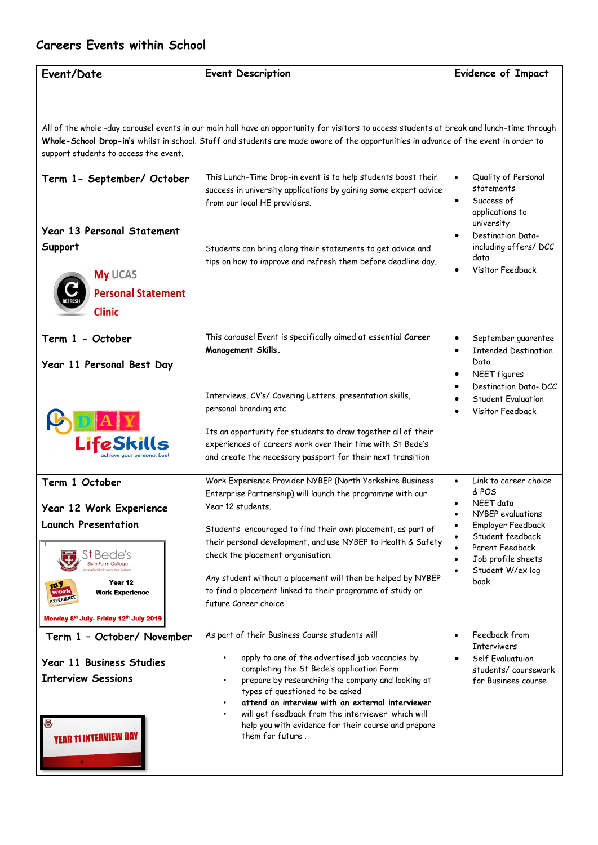# **Careers Events within School**

| Event/Date                                                                                        | <b>Event Description</b>                                                                                                                                                                                                                                                                         | <b>Evidence of Impact</b>                                                                                                                                                            |
|---------------------------------------------------------------------------------------------------|--------------------------------------------------------------------------------------------------------------------------------------------------------------------------------------------------------------------------------------------------------------------------------------------------|--------------------------------------------------------------------------------------------------------------------------------------------------------------------------------------|
|                                                                                                   |                                                                                                                                                                                                                                                                                                  |                                                                                                                                                                                      |
|                                                                                                   |                                                                                                                                                                                                                                                                                                  |                                                                                                                                                                                      |
|                                                                                                   | All of the whole -day carousel events in our main hall have an opportunity for visitors to access students at break and lunch-time through<br>Whole-School Drop-in's whilst in school. Staff and students are made aware of the opportunities in advance of the event in order to                |                                                                                                                                                                                      |
| support students to access the event.                                                             |                                                                                                                                                                                                                                                                                                  |                                                                                                                                                                                      |
| Term 1- September/ October<br><b>Year 13 Personal Statement</b><br>Support                        | This Lunch-Time Drop-in event is to help students boost their<br>success in university applications by gaining some expert advice<br>from our local HE providers.<br>Students can bring along their statements to get advice and<br>tips on how to improve and refresh them before deadline day. | Quality of Personal<br>$\bullet$<br>statements<br>Success of<br>applications to<br>university<br>Destination Data-<br>$\bullet$<br>including offers/ DCC<br>data<br>Visitor Feedback |
| <b>My UCAS</b><br><b>Personal Statement</b>                                                       |                                                                                                                                                                                                                                                                                                  |                                                                                                                                                                                      |
| <b>Clinic</b>                                                                                     |                                                                                                                                                                                                                                                                                                  |                                                                                                                                                                                      |
| Term 1 - October<br>Year 11 Personal Best Day                                                     | This carousel Event is specifically aimed at essential Career<br>Management Skills.                                                                                                                                                                                                              | September guarentee<br>$\bullet$<br><b>Intended Destination</b><br>$\bullet$<br>Data<br>NEET figures<br>$\bullet$                                                                    |
|                                                                                                   | Interviews, CV's/ Covering Letters. presentation skills,<br>personal branding etc.                                                                                                                                                                                                               | Destination Data-DCC<br>$\bullet$<br><b>Student Evaluation</b><br>$\bullet$<br>Visitor Feedback                                                                                      |
| LifeSkills                                                                                        | Its an opportunity for students to draw together all of their<br>experiences of careers work over their time with St Bede's<br>and create the necessary passport for their next transition                                                                                                       |                                                                                                                                                                                      |
| Term 1 October<br>Year 12 Work Experience                                                         | Work Experience Provider NYBEP (North Yorkshire Business<br>Enterprise Partnership) will launch the programme with our<br>Year 12 students.                                                                                                                                                      | Link to career choice<br>$\bullet$<br>& POS<br>NEET data<br>NYBEP evaluations                                                                                                        |
| <b>Launch Presentation</b><br>S†Bede's                                                            | Students encouraged to find their own placement, as part of<br>their personal development, and use NYBEP to Health & Safety<br>check the placement organisation.<br>Any student without a placement will then be helped by NYBEP                                                                 | Employer Feedback<br>$\bullet$<br>Student feedback<br>Parent Feedback<br>$\bullet$<br>Job profile sheets<br>$\bullet$<br>Student W/ex log<br>$\bullet$<br>book                       |
| Year 12<br><b>Work Experience</b><br>vorl<br>EXPERIENCE<br>Monday 8th July- Friday 12th July 2019 | to find a placement linked to their programme of study or<br>future Career choice                                                                                                                                                                                                                |                                                                                                                                                                                      |
| Term 1 - October/ November                                                                        | As part of their Business Course students will                                                                                                                                                                                                                                                   | Feedback from<br>$\bullet$                                                                                                                                                           |
| Year 11 Business Studies<br><b>Interview Sessions</b>                                             | apply to one of the advertised job vacancies by<br>completing the St Bede's application Form<br>prepare by researching the company and looking at                                                                                                                                                | <b>Interviwers</b><br>Self Evaluatuion<br>$\bullet$<br>students/coursework<br>for Businees course                                                                                    |
| U<br><b>YEAR 11 INTERVIEW DAY</b>                                                                 | types of questioned to be asked<br>attend an interview with an external interviewer<br>will get feedback from the interviewer which will<br>help you with evidence for their course and prepare<br>them for future.                                                                              |                                                                                                                                                                                      |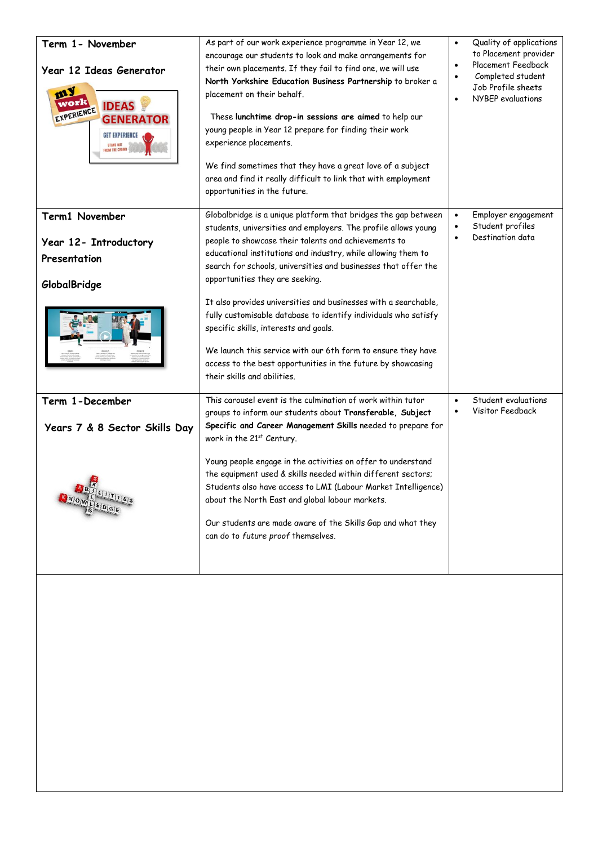| Term 1- November<br>Year 12 Ideas Generator<br>my<br>work<br><b>IDEAS</b><br>EXPERIENCE<br><b>GENERATOR</b><br><b>GET EXPERIENCE</b><br>STAND OUT<br>From the crowd | As part of our work experience programme in Year 12, we<br>encourage our students to look and make arrangements for<br>their own placements. If they fail to find one, we will use<br>North Yorkshire Education Business Partnership to broker a<br>placement on their behalf.<br>These lunchtime drop-in sessions are aimed to help our<br>young people in Year 12 prepare for finding their work<br>experience placements.<br>We find sometimes that they have a great love of a subject<br>area and find it really difficult to link that with employment<br>opportunities in the future. | $\bullet$<br>$\bullet$<br>$\bullet$ | Quality of applications<br>to Placement provider<br>Placement Feedback<br>Completed student<br>Job Profile sheets<br>NYBEP evaluations |
|---------------------------------------------------------------------------------------------------------------------------------------------------------------------|----------------------------------------------------------------------------------------------------------------------------------------------------------------------------------------------------------------------------------------------------------------------------------------------------------------------------------------------------------------------------------------------------------------------------------------------------------------------------------------------------------------------------------------------------------------------------------------------|-------------------------------------|----------------------------------------------------------------------------------------------------------------------------------------|
| Term1 November<br>Year 12- Introductory<br>Presentation                                                                                                             | Globalbridge is a unique platform that bridges the gap between<br>students, universities and employers. The profile allows young<br>people to showcase their talents and achievements to<br>educational institutions and industry, while allowing them to<br>search for schools, universities and businesses that offer the<br>opportunities they are seeking.                                                                                                                                                                                                                               | $\bullet$<br>$\bullet$              | Employer engagement<br>Student profiles<br>Destination data                                                                            |
| GlobalBridge                                                                                                                                                        | It also provides universities and businesses with a searchable,<br>fully customisable database to identify individuals who satisfy<br>specific skills, interests and goals.<br>We launch this service with our 6th form to ensure they have<br>access to the best opportunities in the future by showcasing<br>their skills and abilities.                                                                                                                                                                                                                                                   |                                     |                                                                                                                                        |
| Term 1-December<br>Years 7 & 8 Sector Skills Day                                                                                                                    | This carousel event is the culmination of work within tutor<br>groups to inform our students about Transferable, Subject<br>Specific and Career Management Skills needed to prepare for<br>work in the 21st Century.                                                                                                                                                                                                                                                                                                                                                                         | $\bullet$                           | Student evaluations<br>Visitor Feedback                                                                                                |
| <b>RANDIWEEDGE</b>                                                                                                                                                  | Young people engage in the activities on offer to understand<br>the equipment used & skills needed within different sectors;<br>Students also have access to LMI (Labour Market Intelligence)<br>about the North East and global labour markets.<br>Our students are made aware of the Skills Gap and what they<br>can do to future proof themselves.                                                                                                                                                                                                                                        |                                     |                                                                                                                                        |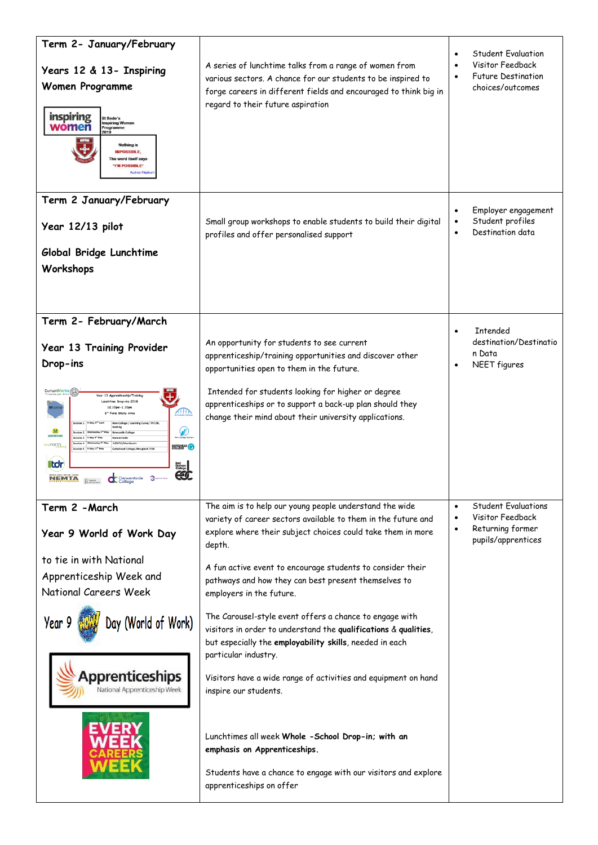| Term 2- January/February<br>Years 12 & 13- Inspiring<br>Women Programme<br>inspiring<br>St Bede's<br><b>Inspiring Women</b><br>women<br>Programme<br>2019<br><b>Nothing is</b><br><b>IMPOSSIBLE,</b><br>The word itself says<br>"I'M POSSIBLE"<br><b>Audrey Hepl</b>                                                                                                                                                                                                                                                                                                                                      | A series of lunchtime talks from a range of women from<br>various sectors. A chance for our students to be inspired to<br>forge careers in different fields and encouraged to think big in<br>regard to their future aspiration                                                                                                                                                                                                                                                                                                                                                                                                                                                                                                                                                                                                                     | <b>Student Fvaluation</b><br>$\bullet$<br>Visitor Feedback<br><b>Future Destination</b><br>$\bullet$<br>choices/outcomes        |
|-----------------------------------------------------------------------------------------------------------------------------------------------------------------------------------------------------------------------------------------------------------------------------------------------------------------------------------------------------------------------------------------------------------------------------------------------------------------------------------------------------------------------------------------------------------------------------------------------------------|-----------------------------------------------------------------------------------------------------------------------------------------------------------------------------------------------------------------------------------------------------------------------------------------------------------------------------------------------------------------------------------------------------------------------------------------------------------------------------------------------------------------------------------------------------------------------------------------------------------------------------------------------------------------------------------------------------------------------------------------------------------------------------------------------------------------------------------------------------|---------------------------------------------------------------------------------------------------------------------------------|
| Term 2 January/February<br>Year 12/13 pilot<br>Global Bridge Lunchtime<br>Workshops                                                                                                                                                                                                                                                                                                                                                                                                                                                                                                                       | Small group workshops to enable students to build their digital<br>profiles and offer personalised support                                                                                                                                                                                                                                                                                                                                                                                                                                                                                                                                                                                                                                                                                                                                          | Employer engagement<br>Student profiles<br>Destination data<br>$\bullet$                                                        |
| Term 2- February/March<br>Year 13 Training Provider<br>Drop-ins<br>DurhamWorks<br>Year 13 Apprenticeship/Train<br>Lunchtime Drop-ins 2018<br>12.10pm-1.10pm<br>AIIN<br>6 <sup>th</sup> Form Study Area<br>ssion 1 Friday 27 <sup>th</sup> April<br>New College / Learning Curve/ TNT/BL<br>training<br>W<br>M<br><b>Newcastle College</b><br><b>MORRISONS</b><br>riday 4 <sup>th</sup> May<br>NEMTA/Morriso<br>tynenorth<br>COLLEGE CO<br>riday 11 <sup>th</sup> May<br>Gateshead College /Houghall /TDF<br><b>iltdr</b><br>East<br>Durham<br>College<br>CÓ<br>ಿ<br><b>NEMTA</b><br><b>CC</b> Derwentside | An opportunity for students to see current<br>apprenticeship/training opportunities and discover other<br>opportunities open to them in the future.<br>Intended for students looking for higher or degree<br>apprenticeships or to support a back-up plan should they<br>change their mind about their university applications.                                                                                                                                                                                                                                                                                                                                                                                                                                                                                                                     | <b>Intended</b><br>$\bullet$<br>destination/Destinatio<br>n Data<br>NEET figures<br>$\bullet$                                   |
| Term 2 - March<br>Year 9 World of Work Day<br>to tie in with National<br>Apprenticeship Week and<br><b>National Careers Week</b><br>Day (World of Work)<br>Year 9<br><b>Apprenticeships</b><br>National Apprenticeship Week                                                                                                                                                                                                                                                                                                                                                                               | The aim is to help our young people understand the wide<br>variety of career sectors available to them in the future and<br>explore where their subject choices could take them in more<br>depth.<br>A fun active event to encourage students to consider their<br>pathways and how they can best present themselves to<br>employers in the future.<br>The Carousel-style event offers a chance to engage with<br>visitors in order to understand the qualifications & qualities,<br>but especially the employability skills, needed in each<br>particular industry.<br>Visitors have a wide range of activities and equipment on hand<br>inspire our students.<br>Lunchtimes all week Whole -School Drop-in; with an<br>emphasis on Apprenticeships.<br>Students have a chance to engage with our visitors and explore<br>apprenticeships on offer | <b>Student Evaluations</b><br>$\bullet$<br>Visitor Feedback<br>$\bullet$<br>Returning former<br>$\bullet$<br>pupils/apprentices |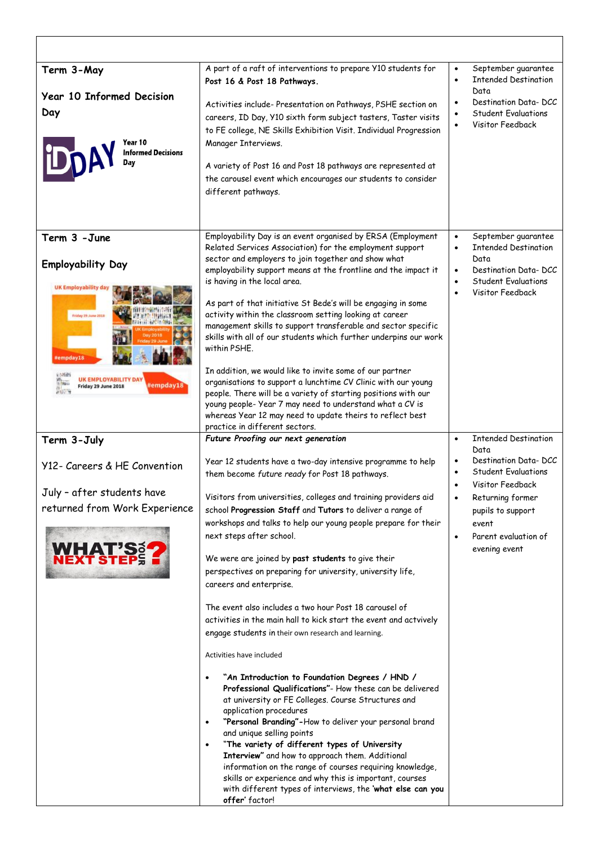| Term 3-May                                                                                 | A part of a raft of interventions to prepare Y10 students for<br>Post 16 & Post 18 Pathways.                                            | September guarantee<br>$\bullet$<br><b>Intended Destination</b><br>$\bullet$ |
|--------------------------------------------------------------------------------------------|-----------------------------------------------------------------------------------------------------------------------------------------|------------------------------------------------------------------------------|
| <b>Year 10 Informed Decision</b>                                                           |                                                                                                                                         | Data<br>Destination Data-DCC                                                 |
| Day                                                                                        | Activities include-Presentation on Pathways, PSHE section on<br>careers, ID Day, Y10 sixth form subject tasters, Taster visits          | $\bullet$<br><b>Student Evaluations</b>                                      |
|                                                                                            | to FE college, NE Skills Exhibition Visit. Individual Progression                                                                       | Visitor Feedback                                                             |
| Year 10                                                                                    | Manager Interviews.                                                                                                                     |                                                                              |
| <b>Informed Decisions</b><br>Dav                                                           |                                                                                                                                         |                                                                              |
|                                                                                            | A variety of Post 16 and Post 18 pathways are represented at<br>the carousel event which encourages our students to consider            |                                                                              |
|                                                                                            | different pathways.                                                                                                                     |                                                                              |
|                                                                                            |                                                                                                                                         |                                                                              |
|                                                                                            |                                                                                                                                         |                                                                              |
| Term 3 - June                                                                              | Employability Day is an event organised by ERSA (Employment<br>Related Services Association) for the employment support                 | September guarantee<br>$\bullet$<br><b>Intended Destination</b><br>$\bullet$ |
| <b>Employability Day</b>                                                                   | sector and employers to join together and show what                                                                                     | Data                                                                         |
|                                                                                            | employability support means at the frontline and the impact it<br>is having in the local area.                                          | Destination Data-DCC<br>$\bullet$<br><b>Student Evaluations</b>              |
| <b>UK Employability da</b>                                                                 |                                                                                                                                         | Visitor Feedback<br>$\bullet$                                                |
|                                                                                            | As part of that initiative St Bede's will be engaging in some                                                                           |                                                                              |
| Friday 25 June 2018                                                                        | activity within the classroom setting looking at career<br>management skills to support transferable and sector specific                |                                                                              |
|                                                                                            | skills with all of our students which further underpins our work                                                                        |                                                                              |
| #empday18                                                                                  | within PSHE.                                                                                                                            |                                                                              |
| 计特征库                                                                                       | In addition, we would like to invite some of our partner                                                                                |                                                                              |
| <b>UK EMPLOYABILITY DAY</b><br>t Nin-<br>#empday18<br>Friday 29 June 2018<br><b>HELLIN</b> | organisations to support a lunchtime CV Clinic with our young                                                                           |                                                                              |
|                                                                                            | people. There will be a variety of starting positions with our<br>young people- Year 7 may need to understand what a CV is              |                                                                              |
|                                                                                            | whereas Year 12 may need to update theirs to reflect best                                                                               |                                                                              |
|                                                                                            | practice in different sectors.                                                                                                          |                                                                              |
|                                                                                            |                                                                                                                                         |                                                                              |
| Term 3-July                                                                                | Future Proofing our next generation                                                                                                     | <b>Intended Destination</b><br>$\bullet$<br>Data                             |
| Y12- Careers & HE Convention                                                               | Year 12 students have a two-day intensive programme to help                                                                             | Destination Data-DCC<br>$\bullet$                                            |
|                                                                                            | them become future ready for Post 18 pathways.                                                                                          | <b>Student Evaluations</b><br>$\bullet$                                      |
| July - after students have                                                                 | Visitors from universities, colleges and training providers aid                                                                         | Visitor Feedback                                                             |
| returned from Work Experience                                                              | school Progression Staff and Tutors to deliver a range of                                                                               | Returning former<br>pupils to support                                        |
|                                                                                            | workshops and talks to help our young people prepare for their                                                                          | event                                                                        |
|                                                                                            | next steps after school.                                                                                                                | Parent evaluation of<br>$\bullet$                                            |
| <b>WHAT'S</b>                                                                              | We were are joined by past students to give their                                                                                       | evening event                                                                |
|                                                                                            | perspectives on preparing for university, university life,                                                                              |                                                                              |
|                                                                                            | careers and enterprise.                                                                                                                 |                                                                              |
|                                                                                            | The event also includes a two hour Post 18 carousel of                                                                                  |                                                                              |
|                                                                                            | activities in the main hall to kick start the event and actvively                                                                       |                                                                              |
|                                                                                            | engage students in their own research and learning.                                                                                     |                                                                              |
|                                                                                            | Activities have included                                                                                                                |                                                                              |
|                                                                                            | "An Introduction to Foundation Degrees / HND /                                                                                          |                                                                              |
|                                                                                            | Professional Qualifications"- How these can be delivered                                                                                |                                                                              |
|                                                                                            | at university or FE Colleges. Course Structures and<br>application procedures                                                           |                                                                              |
|                                                                                            | "Personal Branding"-How to deliver your personal brand<br>$\bullet$                                                                     |                                                                              |
|                                                                                            | and unique selling points<br>"The variety of different types of University<br>$\bullet$                                                 |                                                                              |
|                                                                                            | Interview" and how to approach them. Additional                                                                                         |                                                                              |
|                                                                                            | information on the range of courses requiring knowledge,                                                                                |                                                                              |
|                                                                                            | skills or experience and why this is important, courses<br>with different types of interviews, the 'what else can you<br>offer' factor! |                                                                              |

I